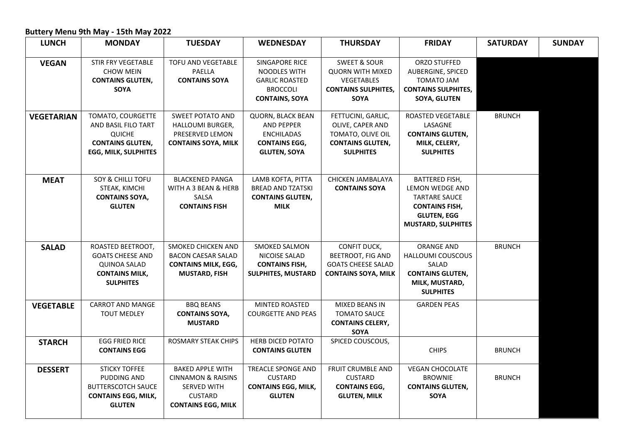## **Buttery Menu 9th May - 15th May 2022**

| <b>LUNCH</b>      | <b>MONDAY</b>                                                                                                          | <b>TUESDAY</b>                                                                                                                | <b>WEDNESDAY</b>                                                                                           | <b>THURSDAY</b>                                                                                                      | <b>FRIDAY</b>                                                                                                                                | <b>SATURDAY</b> | <b>SUNDAY</b> |
|-------------------|------------------------------------------------------------------------------------------------------------------------|-------------------------------------------------------------------------------------------------------------------------------|------------------------------------------------------------------------------------------------------------|----------------------------------------------------------------------------------------------------------------------|----------------------------------------------------------------------------------------------------------------------------------------------|-----------------|---------------|
| <b>VEGAN</b>      | STIR FRY VEGETABLE<br><b>CHOW MEIN</b><br><b>CONTAINS GLUTEN,</b><br><b>SOYA</b>                                       | TOFU AND VEGETABLE<br>PAELLA<br><b>CONTAINS SOYA</b>                                                                          | SINGAPORE RICE<br><b>NOODLES WITH</b><br><b>GARLIC ROASTED</b><br><b>BROCCOLI</b><br><b>CONTAINS, SOYA</b> | <b>SWEET &amp; SOUR</b><br><b>QUORN WITH MIXED</b><br><b>VEGETABLES</b><br><b>CONTAINS SULPHITES,</b><br><b>SOYA</b> | ORZO STUFFED<br>AUBERGINE, SPICED<br><b>NALOTION</b><br><b>CONTAINS SULPHITES,</b><br>SOYA, GLUTEN                                           |                 |               |
| <b>VEGETARIAN</b> | TOMATO, COURGETTE<br>AND BASIL FILO TART<br><b>QUICHE</b><br><b>CONTAINS GLUTEN,</b><br><b>EGG, MILK, SULPHITES</b>    | <b>SWEET POTATO AND</b><br>HALLOUMI BURGER,<br>PRESERVED LEMON<br><b>CONTAINS SOYA, MILK</b>                                  | QUORN, BLACK BEAN<br><b>AND PEPPER</b><br><b>ENCHILADAS</b><br><b>CONTAINS EGG,</b><br><b>GLUTEN, SOYA</b> | FETTUCINI, GARLIC,<br>OLIVE, CAPER AND<br>TOMATO, OLIVE OIL<br><b>CONTAINS GLUTEN,</b><br><b>SULPHITES</b>           | ROASTED VEGETABLE<br>LASAGNE<br><b>CONTAINS GLUTEN,</b><br>MILK, CELERY,<br><b>SULPHITES</b>                                                 | <b>BRUNCH</b>   |               |
| <b>MEAT</b>       | <b>SOY &amp; CHILLI TOFU</b><br>STEAK, KIMCHI<br><b>CONTAINS SOYA,</b><br><b>GLUTEN</b>                                | <b>BLACKENED PANGA</b><br>WITH A 3 BEAN & HERB<br><b>SALSA</b><br><b>CONTAINS FISH</b>                                        | LAMB KOFTA, PITTA<br><b>BREAD AND TZATSKI</b><br><b>CONTAINS GLUTEN,</b><br><b>MILK</b>                    | CHICKEN JAMBALAYA<br><b>CONTAINS SOYA</b>                                                                            | <b>BATTERED FISH,</b><br>LEMON WEDGE AND<br><b>TARTARE SAUCE</b><br><b>CONTAINS FISH,</b><br><b>GLUTEN, EGG</b><br><b>MUSTARD, SULPHITES</b> |                 |               |
| <b>SALAD</b>      | ROASTED BEETROOT,<br><b>GOATS CHEESE AND</b><br><b>QUINOA SALAD</b><br><b>CONTAINS MILK,</b><br><b>SULPHITES</b>       | SMOKED CHICKEN AND<br><b>BACON CAESAR SALAD</b><br><b>CONTAINS MILK, EGG,</b><br><b>MUSTARD, FISH</b>                         | <b>SMOKED SALMON</b><br>NICOISE SALAD<br><b>CONTAINS FISH,</b><br><b>SULPHITES, MUSTARD</b>                | CONFIT DUCK,<br><b>BEETROOT, FIG AND</b><br><b>GOATS CHEESE SALAD</b><br><b>CONTAINS SOYA, MILK</b>                  | <b>ORANGE AND</b><br>HALLOUMI COUSCOUS<br>SALAD<br><b>CONTAINS GLUTEN,</b><br>MILK, MUSTARD,<br><b>SULPHITES</b>                             | <b>BRUNCH</b>   |               |
| <b>VEGETABLE</b>  | <b>CARROT AND MANGE</b><br><b>TOUT MEDLEY</b>                                                                          | <b>BBQ BEANS</b><br><b>CONTAINS SOYA,</b><br><b>MUSTARD</b>                                                                   | MINTED ROASTED<br><b>COURGETTE AND PEAS</b>                                                                | MIXED BEANS IN<br><b>TOMATO SAUCE</b><br><b>CONTAINS CELERY,</b><br>SOYA                                             | <b>GARDEN PEAS</b>                                                                                                                           |                 |               |
| <b>STARCH</b>     | <b>EGG FRIED RICE</b><br><b>CONTAINS EGG</b>                                                                           | <b>ROSMARY STEAK CHIPS</b>                                                                                                    | <b>HERB DICED POTATO</b><br><b>CONTAINS GLUTEN</b>                                                         | SPICED COUSCOUS,                                                                                                     | <b>CHIPS</b>                                                                                                                                 | <b>BRUNCH</b>   |               |
| <b>DESSERT</b>    | <b>STICKY TOFFEE</b><br><b>PUDDING AND</b><br><b>BUTTERSCOTCH SAUCE</b><br><b>CONTAINS EGG, MILK,</b><br><b>GLUTEN</b> | <b>BAKED APPLE WITH</b><br><b>CINNAMON &amp; RAISINS</b><br><b>SERVED WITH</b><br><b>CUSTARD</b><br><b>CONTAINS EGG, MILK</b> | <b>TREACLE SPONGE AND</b><br><b>CUSTARD</b><br><b>CONTAINS EGG, MILK,</b><br><b>GLUTEN</b>                 | <b>FRUIT CRUMBLE AND</b><br><b>CUSTARD</b><br><b>CONTAINS EGG,</b><br><b>GLUTEN, MILK</b>                            | <b>VEGAN CHOCOLATE</b><br><b>BROWNIE</b><br><b>CONTAINS GLUTEN,</b><br>SOYA                                                                  | <b>BRUNCH</b>   |               |